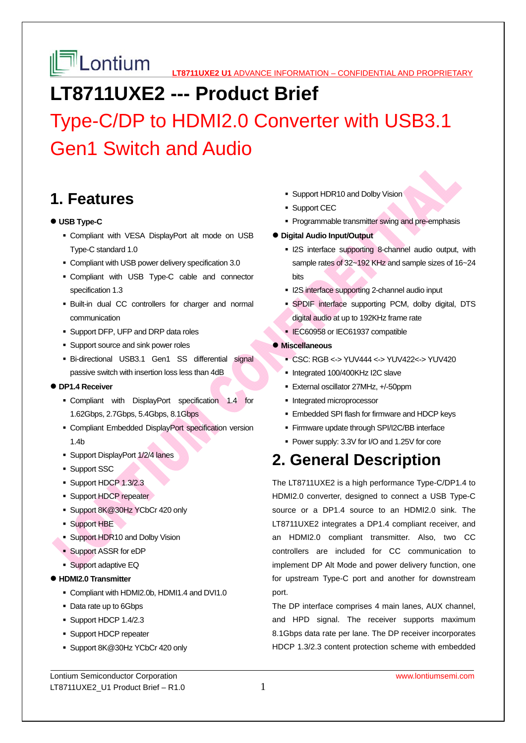## **LT8711UXE2 --- Product Brief**

Type-C/DP to HDMI2.0 Converter with USB3.1 Gen1 Switch and Audio

### **1. Features**

#### **USB Type-C**

- Compliant with VESA DisplayPort alt mode on USB Type-C standard 1.0
- Compliant with USB power delivery specification 3.0
- Compliant with USB Type-C cable and connector specification 1.3
- Built-in dual CC controllers for charger and normal communication
- **Support DFP, UFP and DRP data roles**
- **Support source and sink power roles**
- Bi-directional USB3.1 Gen1 SS differential signal passive switch with insertion loss less than 4dB

#### **DP1.4 Receiver**

- Compliant with DisplayPort specification 1.4 for 1.62Gbps, 2.7Gbps, 5.4Gbps, 8.1Gbps
- Compliant Embedded DisplayPort specification version 1.4b
- Support DisplayPort 1/2/4 lanes
- **Support SSC**
- Support HDCP 1.3/2.3
- **Support HDCP repeater**
- Support 8K@30Hz YCbCr 420 only
- Support HBE
- **Support HDR10 and Dolby Vision**
- Support ASSR for eDP
- **Support adaptive EQ**
- **HDMI2.0 Transmitter** 
	- Compliant with HDMI2.0b, HDMI1.4 and DVI1.0
	- Data rate up to 6Gbps
	- Support HDCP 1.4/2.3
	- **Support HDCP repeater**
	- Support 8K@30Hz YCbCr 420 only

Lontium Semiconductor Corporation www.lontiumsemi.com LT8711UXE2\_U1 Product Brief  $- R1.0$  1

- **Support HDR10 and Dolby Vision**
- **Support CEC**
- **Programmable transmitter swing and pre-emphasis**
- **Digital Audio Input/Output** 
	- **I2S** interface supporting 8-channel audio output, with sample rates of 32~192 KHz and sample sizes of 16~24 bits
	- I2S interface supporting 2-channel audio input
	- SPDIF interface supporting PCM, dolby digital, DTS digital audio at up to 192KHz frame rate
	- **IEC60958 or IEC61937 compatible**

#### **Miscellaneous**

- CSC: RGB <-> YUV444 <-> YUV422<-> YUV420
- Integrated 100/400KHz I2C slave
- **External oscillator 27MHz, +/-50ppm**
- **Integrated microprocessor**
- **Embedded SPI flash for firmware and HDCP keys**
- **Firmware update through SPI/I2C/BB interface**
- Power supply: 3.3V for I/O and 1.25V for core

## **2. General Description**

The LT8711UXE2 is a high performance Type-C/DP1.4 to HDMI2.0 converter, designed to connect a USB Type-C source or a DP1.4 source to an HDMI2.0 sink. The LT8711UXE2 integrates a DP1.4 compliant receiver, and an HDMI2.0 compliant transmitter. Also, two CC controllers are included for CC communication to implement DP Alt Mode and power delivery function, one for upstream Type-C port and another for downstream port.

The DP interface comprises 4 main lanes, AUX channel, and HPD signal. The receiver supports maximum 8.1Gbps data rate per lane. The DP receiver incorporates HDCP 1.3/2.3 content protection scheme with embedded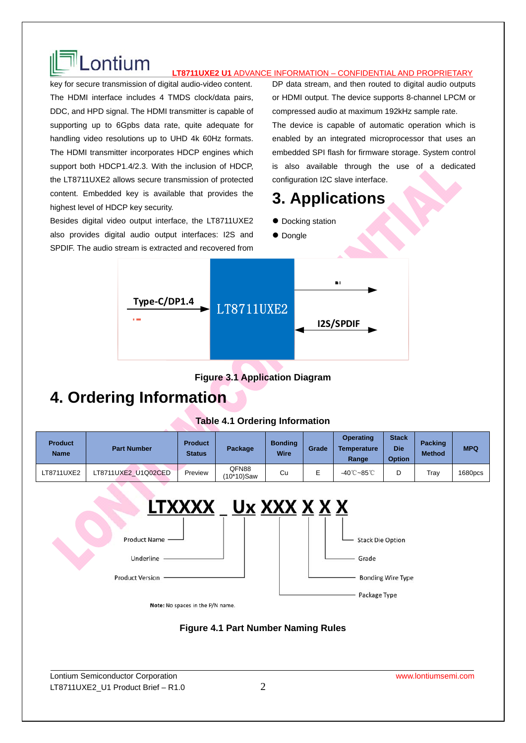

# LONTIUM **LTB711UXE2 U1 ADVANCE INFORMATION – CONFIDENTIAL AND PROPRIETARY**

key for secure transmission of digital audio-video content. The HDMI interface includes 4 TMDS clock/data pairs, DDC, and HPD signal. The HDMI transmitter is capable of supporting up to 6Gpbs data rate, quite adequate for handling video resolutions up to UHD 4k 60Hz formats. The HDMI transmitter incorporates HDCP engines which support both HDCP1.4/2.3. With the inclusion of HDCP, the LT8711UXE2 allows secure transmission of protected content. Embedded key is available that provides the highest level of HDCP key security.

Besides digital video output interface, the LT8711UXE2 also provides digital audio output interfaces: I2S and SPDIF. The audio stream is extracted and recovered from DP data stream, and then routed to digital audio outputs or HDMI output. The device supports 8-channel LPCM or compressed audio at maximum 192kHz sample rate. The device is capable of automatic operation which is enabled by an integrated microprocessor that uses an embedded SPI flash for firmware storage. System control is also available through the use of a dedicated configuration I2C slave interface.

### **3. Applications**

- $\bullet$  Docking station
- Dongle



**Figure 3.1 Application Diagram** 

### **4. Ordering Information**

#### **Table 4.1 Ordering Information**

| <b>Product</b><br><b>Name</b> | <b>Part Number</b>  | <b>Product</b><br><b>Status</b> | Package             | <b>Bonding</b><br><b>Wire</b> | Grade | <b>Operating</b><br><b>Temperature</b><br>Range | <b>Stack</b><br><b>Die</b><br><b>Option</b> | <b>Packing</b><br><b>Method</b> | <b>MPQ</b> |
|-------------------------------|---------------------|---------------------------------|---------------------|-------------------------------|-------|-------------------------------------------------|---------------------------------------------|---------------------------------|------------|
| LT8711UXE2                    | LT8711UXE2 U1Q02CED | Preview                         | QFN88<br>(10*10)Saw | Cu                            |       | -40℃~85℃                                        | D                                           | Tray                            | 1680pcs    |